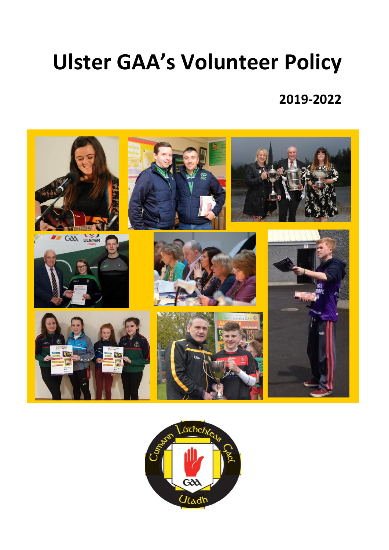# **Ulster GAA's Volunteer Policy**

# **2019-2022**



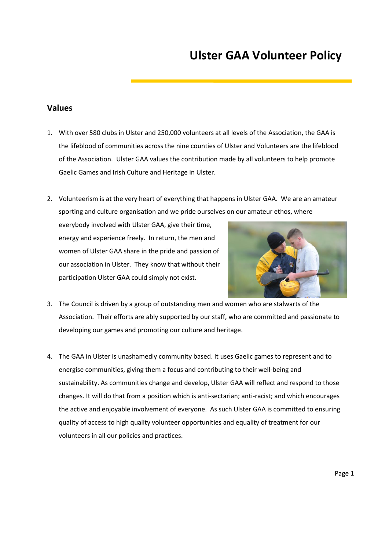# **Ulster GAA Volunteer Policy**

#### **Values**

- 1. With over 580 clubs in Ulster and 250,000 volunteers at all levels of the Association, the GAA is the lifeblood of communities across the nine counties of Ulster and Volunteers are the lifeblood of the Association. Ulster GAA values the contribution made by all volunteers to help promote Gaelic Games and Irish Culture and Heritage in Ulster.
- 2. Volunteerism is at the very heart of everything that happens in Ulster GAA. We are an amateur sporting and culture organisation and we pride ourselves on our amateur ethos, where

everybody involved with Ulster GAA, give their time, energy and experience freely. In return, the men and women of Ulster GAA share in the pride and passion of our association in Ulster. They know that without their participation Ulster GAA could simply not exist.



- 3. The Council is driven by a group of outstanding men and women who are stalwarts of the Association. Their efforts are ably supported by our staff, who are committed and passionate to developing our games and promoting our culture and heritage.
- 4. The GAA in Ulster is unashamedly community based. It uses Gaelic games to represent and to energise communities, giving them a focus and contributing to their well-being and sustainability. As communities change and develop, Ulster GAA will reflect and respond to those changes. It will do that from a position which is anti-sectarian; anti-racist; and which encourages the active and enjoyable involvement of everyone. As such Ulster GAA is committed to ensuring quality of access to high quality volunteer opportunities and equality of treatment for our volunteers in all our policies and practices.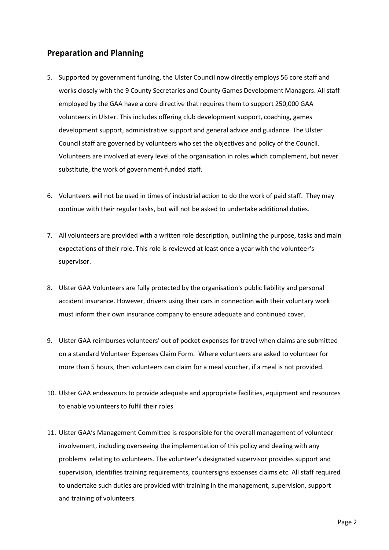## **Preparation and Planning**

- 5. Supported by government funding, the Ulster Council now directly employs 56 core staff and works closely with the 9 County Secretaries and County Games Development Managers. All staff employed by the GAA have a core directive that requires them to support 250,000 GAA volunteers in Ulster. This includes offering club development support, coaching, games development support, administrative support and general advice and guidance. The Ulster Council staff are governed by volunteers who set the objectives and policy of the Council. Volunteers are involved at every level of the organisation in roles which complement, but never substitute, the work of government-funded staff.
- 6. Volunteers will not be used in times of industrial action to do the work of paid staff. They may continue with their regular tasks, but will not be asked to undertake additional duties.
- 7. All volunteers are provided with a written role description, outlining the purpose, tasks and main expectations of their role. This role is reviewed at least once a year with the volunteer's supervisor.
- 8. Ulster GAA Volunteers are fully protected by the organisation's public liability and personal accident insurance. However, drivers using their cars in connection with their voluntary work must inform their own insurance company to ensure adequate and continued cover.
- 9. Ulster GAA reimburses volunteers' out of pocket expenses for travel when claims are submitted on a standard Volunteer Expenses Claim Form. Where volunteers are asked to volunteer for more than 5 hours, then volunteers can claim for a meal voucher, if a meal is not provided.
- 10. Ulster GAA endeavours to provide adequate and appropriate facilities, equipment and resources to enable volunteers to fulfil their roles
- 11. Ulster GAA's Management Committee is responsible for the overall management of volunteer involvement, including overseeing the implementation of this policy and dealing with any problems relating to volunteers. The volunteer's designated supervisor provides support and supervision, identifies training requirements, countersigns expenses claims etc. All staff required to undertake such duties are provided with training in the management, supervision, support and training of volunteers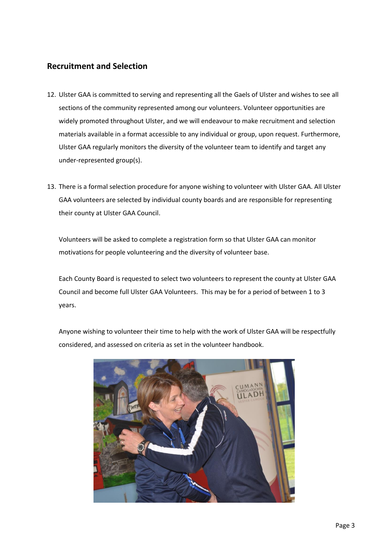## **Recruitment and Selection**

- 12. Ulster GAA is committed to serving and representing all the Gaels of Ulster and wishes to see all sections of the community represented among our volunteers. Volunteer opportunities are widely promoted throughout Ulster, and we will endeavour to make recruitment and selection materials available in a format accessible to any individual or group, upon request. Furthermore, Ulster GAA regularly monitors the diversity of the volunteer team to identify and target any under-represented group(s).
- 13. There is a formal selection procedure for anyone wishing to volunteer with Ulster GAA. All Ulster GAA volunteers are selected by individual county boards and are responsible for representing their county at Ulster GAA Council.

Volunteers will be asked to complete a registration form so that Ulster GAA can monitor motivations for people volunteering and the diversity of volunteer base.

Each County Board is requested to select two volunteers to represent the county at Ulster GAA Council and become full Ulster GAA Volunteers. This may be for a period of between 1 to 3 years.

Anyone wishing to volunteer their time to help with the work of Ulster GAA will be respectfully considered, and assessed on criteria as set in the volunteer handbook.

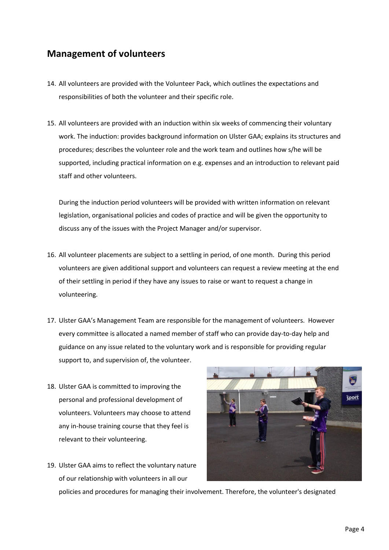## **Management of volunteers**

- 14. All volunteers are provided with the Volunteer Pack, which outlines the expectations and responsibilities of both the volunteer and their specific role.
- 15. All volunteers are provided with an induction within six weeks of commencing their voluntary work. The induction: provides background information on Ulster GAA; explains its structures and procedures; describes the volunteer role and the work team and outlines how s/he will be supported, including practical information on e.g. expenses and an introduction to relevant paid staff and other volunteers.

During the induction period volunteers will be provided with written information on relevant legislation, organisational policies and codes of practice and will be given the opportunity to discuss any of the issues with the Project Manager and/or supervisor.

- 16. All volunteer placements are subject to a settling in period, of one month. During this period volunteers are given additional support and volunteers can request a review meeting at the end of their settling in period if they have any issues to raise or want to request a change in volunteering.
- 17. Ulster GAA's Management Team are responsible for the management of volunteers. However every committee is allocated a named member of staff who can provide day-to-day help and guidance on any issue related to the voluntary work and is responsible for providing regular support to, and supervision of, the volunteer.
- 18. Ulster GAA is committed to improving the personal and professional development of volunteers. Volunteers may choose to attend any in-house training course that they feel is relevant to their volunteering.
- 19. Ulster GAA aims to reflect the voluntary nature of our relationship with volunteers in all our



policies and procedures for managing their involvement. Therefore, the volunteer's designated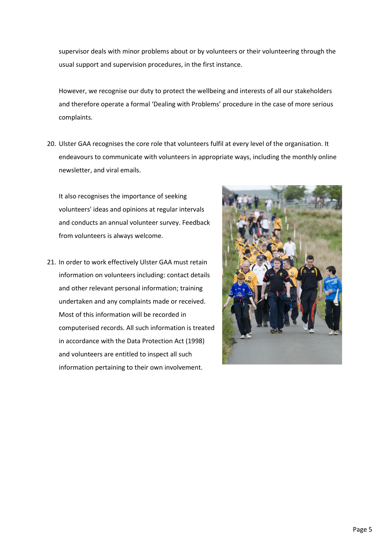supervisor deals with minor problems about or by volunteers or their volunteering through the usual support and supervision procedures, in the first instance.

However, we recognise our duty to protect the wellbeing and interests of all our stakeholders and therefore operate a formal 'Dealing with Problems' procedure in the case of more serious complaints.

20. Ulster GAA recognises the core role that volunteers fulfil at every level of the organisation. It endeavours to communicate with volunteers in appropriate ways, including the monthly online newsletter, and viral emails.

It also recognises the importance of seeking volunteers' ideas and opinions at regular intervals and conducts an annual volunteer survey. Feedback from volunteers is always welcome.

21. In order to work effectively Ulster GAA must retain information on volunteers including: contact details and other relevant personal information; training undertaken and any complaints made or received. Most of this information will be recorded in computerised records. All such information is treated in accordance with the Data Protection Act (1998) and volunteers are entitled to inspect all such information pertaining to their own involvement.